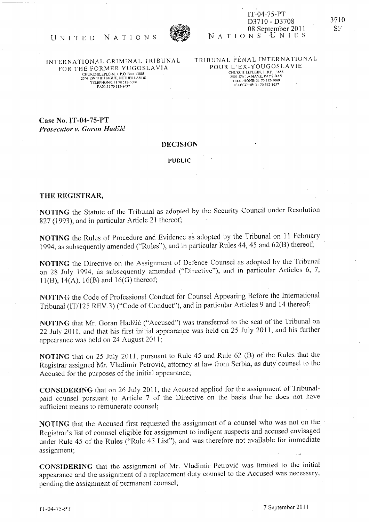

## NATIONS IT -04-75-PT D3710 - D3708 08 September 2011<br>  $D \cap S$  U N I E S

## UNITED NATIONS <sup>1</sup>

INTERNATIONAL CRIMINAL TRIBUNAL FOR THE FORMER YUGOSLAVIA CHURCHILLPLEIN, 1 P.O. BOX 13888<br>501 EW THE HAGUE, NETHERLANDS<br>TELEPHONE: 31 70 512-5000 FAX: 31 70 512-8637

TRIBUNAL PENAL INTERNATIONAL POUR L'EX-YOUGOSLAVIE CHURCHILLPLEIN, 1. B.P. 13888 501 EW LA HAYE, PAYS-BAS<br>TELLPHONE: 31 70 512-5000 TÉLÉCOPIE: 31 70 512-8637

Case No. IT-04-75-PT Prosecutor v. Goran Hadžić

## DECISION

PUBLIC

## THE REGISTRAR,

NOTING the Statute of the Tribunal as adopted by the Security Council under Resolution 827 (1993), and in particular Article 21 thereof;

NOTING the Rules of Procedure and Evidence as adopted by the Tribunal on 11 February 1994, as subsequently amended ("Rules"), and in particular Rules 44, 45 and 62(B) thereof,

NOTING the Directive on the Assignment of Defence Counsel as adopted by the Tribunal on 28 July 1994, as subsequently amended ("Directive"), and in particular Articles 6, 7,  $11(B)$ ,  $14(A)$ ,  $16(B)$  and  $16(G)$  thereof;

NOTING the Code of Professional Conduct for Counsel Appearing Before the International Tribunal (lT/125 REV.3) ("Code of Conduct"), and in particular Articles 9 and 14 thereof;

NOTING that Mr. Goran Hadžić ("Accused") was transferred to the seat of the Tribunal on 22 July 2011, and that his first initial appearance was held on 25 July 2011, and his further appearance was held on 24 August 2011;

NOTlNG that on 25 July 2011, pursuant to Rule 45 and Rule 62 (8) of the Rules that the Registrar assigned Mr. Vladimir Petrović, attorney at law from Serbia, as duty counsel to the Accused for the purposes of the initial appearance;

CONSIDERING that on 26 July 2011, the Accused applied for the assignment of Tribunalpaid counsel pursuant to Article 7 of the Directive on the basis that he does not have sufficient means to remunerate counsel;

NOTING that the Accused first requested the assignment of a counsel who was not on the Registrar's list of counsel eligible for assignment to indigent suspects and accused envisaged under Rule 45 of the Rules ("Rule 45 List"), and was therefore not available for immediate assignment;

CONSIDERING that the assignment of Mr. Vladimir Petrovic was limited to the initial appearance and the assignment of a replacement duty counsel to the Accused was necessary, pending the assignment of permanent counsel;

IT -04-75 -PT 7 September 20 I I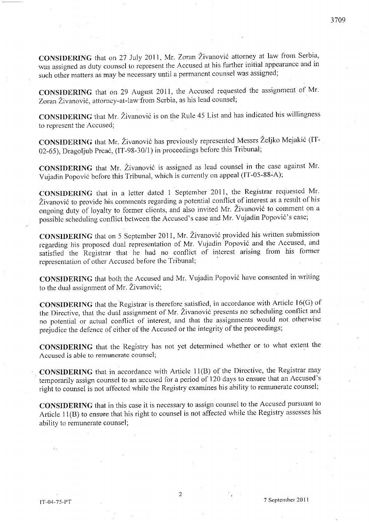CONSIDERING that on 27 July 2011, Mr. Zoran Zivanovic attorney at law from Serbia, was assigned as duty counsel to represent the Accused at his further initial appearance and in such other matters as may be necessary until a permanent counsel was assigned;

CONSIDERING that on 29 August 2011, the Accused requested the assignment of Mr. Zoran Živanović, attorney-at-law from Serbia, as his lead counsel;

CONSIDERING that Mr. Zivanovic is on the Rule 45 List and has indicated his willingness to represent the Accused;

CONSIDERING that Mr. Živanović has previously represented Messrs Željko Mejakić (IT-02-65), Dragoljub Prcac, (IT-98-301l) in proceedings before this Tribunal;

CONSIDERING that Mr. Živanović is assigned as lead counsel in the case against Mr. Vujadin Popović before this Tribunal, which is currently on appeal (IT-05-88-A);

CONSIDERING that in a letter dated 1 September 2011, the Registrar requested Mr. Živanović to provide his comments regarding a potential conflict of interest as a result of his ongoing duty of loyalty to former clients, and also invited Mr. Zivanovic to comment on a possible scheduling conflict between the Accused's case and Mr. Vujadin Popovic's case;

CONSIDERING that on 5 September 2011, Mr. Živanović provided his written submission regarding his proposed dual representation of Mr. Vujadin Popovic and the Accused, and satisfied the Registrar that he had no conflict of interest arising from his former representation of other Accused before the Tribunal;

CONSIDERING that both the Accused and Mr. Vujadin Popovic have consented in writing to the dual assignment of Mr. Živanović;

CONSIDERING that the 'Registrar is therefore satislied, in accordance with Article 16(G) of the Directive, that the dual assignment of Mr. Živanović presents no scheduling conflict and no potential or actual contlict of interest, and that the assignments would not otherwise prejudice the defence of either of the Accused or the integrity of the proceedings;

CONSIDERING that the Registry has not yet determined whether or to what extent the Accused is able to remunerate counsel;· .

CONSIDERING that in accordance with Article 11(B) of the Directive, the Registrar may temporarily assign counsel to an accused for a period of 120 days to ensure that an Accused's right to counsel is not affected while the Registry examines his ability to remunerate counsel;

CONSIDERING that in this case it is necessary to assign counsel to the Accused pursuant to Article  $11(B)$  to ensure that his right to counsel is not affected while the Registry assesses his ability to remunerate counsel;